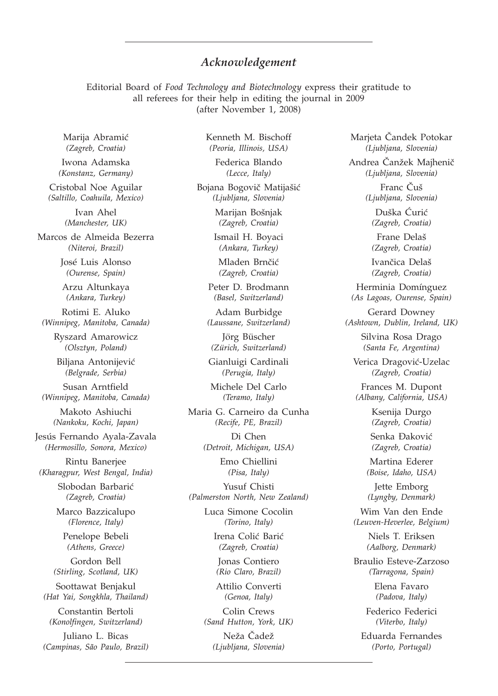## *Acknowledgement*

Editorial Board of *Food Technology and Biotechnology* express their gratitude to all referees for their help in editing the journal in 2009 (after November 1, 2008)

Marija Abramić *(Zagreb, Croatia)*

Iwona Adamska *(Konstanz, Germany)*

Cristobal Noe Aguilar *(Saltillo, Coahuila, Mexico)*

> Ivan Ahel *(Manchester, UK)*

Marcos de Almeida Bezerra *(Niteroi, Brazil)*

> José Luis Alonso *(Ourense, Spain)*

Arzu Altunkaya *(Ankara, Turkey)*

Rotimi E. Aluko *(Winnipeg, Manitoba, Canada)*

> Ryszard Amarowicz *(Olsztyn, Poland)*

Biljana Antonijević *(Belgrade, Serbia)*

Susan Arntfield *(Winnipeg, Manitoba, Canada)*

Makoto Ashiuchi *(Nankoku, Kochi, Japan)*

Jesús Fernando Ayala-Zavala *(Hermosillo, Sonora, Mexico)*

Rintu Banerjee *(Kharagpur, West Bengal, India)*

> Slobodan Barbarić *(Zagreb, Croatia)*

Marco Bazzicalupo *(Florence, Italy)*

Penelope Bebeli *(Athens, Greece)*

Gordon Bell *(Stirling, Scotland, UK)*

Soottawat Benjakul *(Hat Yai, Songkhla, Thailand)*

Constantin Bertoli *(Konolfingen, Switzerland)*

Juliano L. Bicas *(Campinas, São Paulo, Brazil)* Kenneth M. Bischoff *(Peoria, Illinois, USA)*

Federica Blando *(Lecce, Italy)*

Bojana Bogovič Matijašić *(Ljubljana, Slovenia)*

> Marijan Bošnjak *(Zagreb, Croatia)*

Ismail H. Boyaci *(Ankara, Turkey)*

Mladen Brnčić *(Zagreb, Croatia)*

Peter D. Brodmann *(Basel, Switzerland)*

Adam Burbidge *(Laussane, Switzerland)*

Jörg Büscher *(Zürich, Switzerland)*

Gianluigi Cardinali *(Perugia, Italy)*

Michele Del Carlo *(Teramo, Italy)*

Maria G. Carneiro da Cunha *(Recife, PE, Brazil)*

> Di Chen *(Detroit, Michigan, USA)*

> > Emo Chiellini *(Pisa, Italy)*

Yusuf Chisti *(Palmerston North, New Zealand)*

> Luca Simone Cocolin *(Torino, Italy)*

Irena Colić Barić *(Zagreb, Croatia)*

Jonas Contiero *(Rio Claro, Brazil)*

Attilio Converti *(Genoa, Italy)*

Colin Crews *(Sand Hutton, York, UK)*

Neža Čadež *(Ljubljana, Slovenia)* Marjeta Čandek Potokar *(Ljubljana, Slovenia)*

Andrea Čanžek Majhenič *(Ljubljana, Slovenia)*

> Franc Čuš *(Ljubljana, Slovenia)*

Duška Ćurić *(Zagreb, Croatia)*

Frane Delaš *(Zagreb, Croatia)*

Ivančica Delaš *(Zagreb, Croatia)*

Herminia Domínguez *(As Lagoas, Ourense, Spain)*

Gerard Downey *(Ashtown, Dublin, Ireland, UK)*

> Silvina Rosa Drago *(Santa Fe, Argentina)*

Verica Dragović-Uzelac *(Zagreb, Croatia)*

Frances M. Dupont *(Albany, California, USA)*

> Ksenija Durgo *(Zagreb, Croatia)*

Senka Đaković *(Zagreb, Croatia)*

Martina Ederer *(Boise, Idaho, USA)*

Jette Emborg *(Lyngby, Denmark)*

Wim Van den Ende *(Leuven-Heverlee, Belgium)*

> Niels T. Eriksen *(Aalborg, Denmark)*

Braulio Esteve-Zarzoso *(Tarragona, Spain)*

> Elena Favaro *(Padova, Italy)*

Federico Federici *(Viterbo, Italy)*

Eduarda Fernandes *(Porto, Portugal)*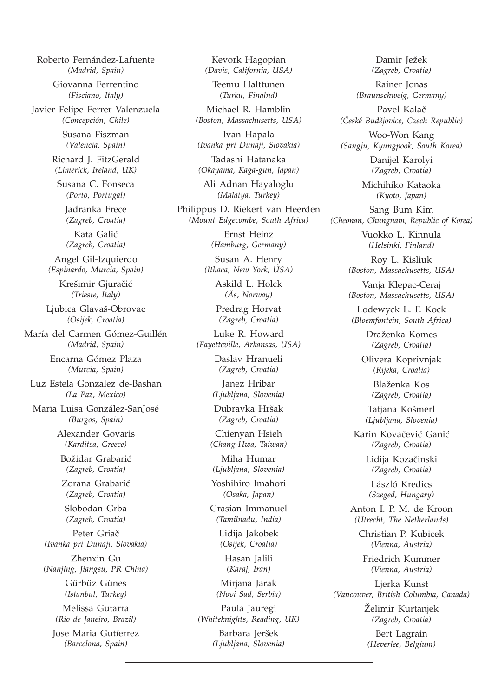Roberto Fernández-Lafuente *(Madrid, Spain)*

> Giovanna Ferrentino *(Fisciano, Italy)*

Javier Felipe Ferrer Valenzuela *(Concepción, Chile)*

> Susana Fiszman *(Valencia, Spain)*

Richard J. FitzGerald *(Limerick, Ireland, UK)*

Susana C. Fonseca *(Porto, Portugal)*

Jadranka Frece *(Zagreb, Croatia)*

Kata Galić *(Zagreb, Croatia)*

Angel Gil-Izquierdo *(Espinardo, Murcia, Spain)*

> Krešimir Gjuračić *(Trieste, Italy)*

Ljubica Glavaš-Obrovac *(Osijek, Croatia)*

María del Carmen Gómez-Guillén *(Madrid, Spain)*

> Encarna Gómez Plaza *(Murcia, Spain)*

Luz Estela Gonzalez de-Bashan *(La Paz, Mexico)*

María Luisa González-SanJosé *(Burgos, Spain)*

> Alexander Govaris *(Karditsa, Greece)*

Božidar Grabarić *(Zagreb, Croatia)*

Zorana Grabarić *(Zagreb, Croatia)*

Slobodan Grba *(Zagreb, Croatia)*

Peter Griač *(Ivanka pri Dunaji, Slovakia)*

Zhenxin Gu *(Nanjing, Jiangsu, PR China)*

> Gürbüz Günes *(Istanbul, Turkey)*

Melissa Gutarra *(Rio de Janeiro, Brazil)*

Jose Maria Gutíerrez *(Barcelona, Spain)*

Kevork Hagopian *(Davis, California, USA)*

Teemu Halttunen *(Turku, Finalnd)*

Michael R. Hamblin *(Boston, Massachusetts, USA)*

Ivan Hapala *(Ivanka pri Dunaji, Slovakia)*

Tadashi Hatanaka *(Okayama, Kaga-gun, Japan)*

Ali Adnan Hayaloglu *(Malatya, Turkey)*

Philippus D. Riekert van Heerden *(Mount Edgecombe, South Africa)*

> Ernst Heinz *(Hamburg, Germany)*

Susan A. Henry *(Ithaca, New York, USA)*

> Askild L. Holck *(Ås, Norway)*

Predrag Horvat *(Zagreb, Croatia)*

Luke R. Howard *(Fayetteville, Arkansas, USA)*

> Daslav Hranueli *(Zagreb, Croatia)*

Janez Hribar *(Ljubljana, Slovenia)*

Dubravka Hršak *(Zagreb, Croatia)*

Chienyan Hsieh *(Chang-Hwa, Taiwan)*

Miha Humar *(Ljubljana, Slovenia)*

Yoshihiro Imahori *(Osaka, Japan)*

Grasian Immanuel *(Tamilnadu, India)*

Lidija Jakobek *(Osijek, Croatia)*

Hasan Jalili *(Karaj, Iran)*

Mirjana Jarak *(Novi Sad, Serbia)*

Paula Jauregi *(Whiteknights, Reading, UK)*

> Barbara Jeršek *(Ljubljana, Slovenia)*

Pavel Kalač *(^eské Budefjovice, Czech Republic)* Woo-Won Kang *(Sangju, Kyungpook, South Korea)* Danijel Karolyi *(Zagreb, Croatia)* Michihiko Kataoka *(Kyoto, Japan)* Sang Bum Kim *(Cheonan, Chungnam, Republic of Korea)* Vuokko L. Kinnula

Damir Ježek *(Zagreb, Croatia)* Rainer Jonas *(Braunschweig, Germany)*

*(Helsinki, Finland)*

Roy L. Kisliuk *(Boston, Massachusetts, USA)*

Vanja Klepac-Ceraj *(Boston, Massachusetts, USA)*

Lodewyck L. F. Kock *(Bloemfontein, South Africa)*

> Draženka Komes *(Zagreb, Croatia)*

Olivera Koprivnjak *(Rijeka, Croatia)*

> Blaženka Kos *(Zagreb, Croatia)*

Tatjana Košmerl *(Ljubljana, Slovenia)*

Karin Kovačević Ganić *(Zagreb, Croatia)*

> Lidija Kozačinski *(Zagreb, Croatia)*

László Kredics *(Szeged, Hungary)*

Anton I. P. M. de Kroon *(Utrecht, The Netherlands)*

Christian P. Kubicek *(Vienna, Austria)*

Friedrich Kummer *(Vienna, Austria)*

Ljerka Kunst *(Vancouver, British Columbia, Canada)*

> Želimir Kurtanjek *(Zagreb, Croatia)*

Bert Lagrain *(Heverlee, Belgium)*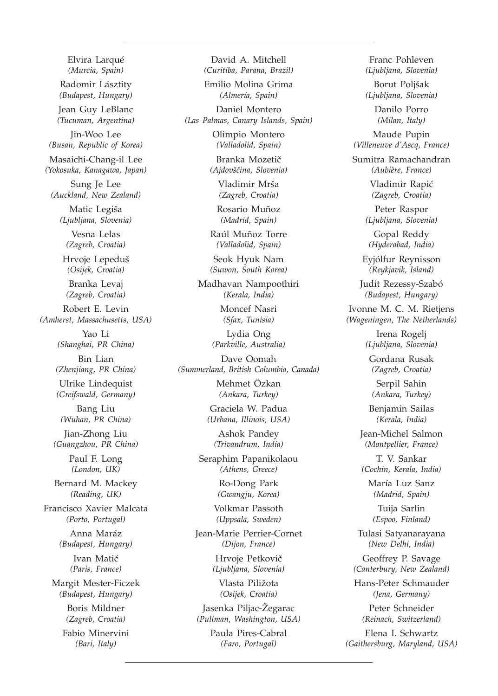Elvira Larqué *(Murcia, Spain)* Radomir Lásztity *(Budapest, Hungary)* Jean Guy LeBlanc *(Tucuman, Argentina)* Jin-Woo Lee *(Busan, Republic of Korea)* Masaichi-Chang-il Lee *(Yokosuka, Kanagawa, Japan)* Sung Je Lee *(Auckland, New Zealand)* Matic Legiša *(Ljubljana, Slovenia)* Vesna Lelas *(Zagreb, Croatia)* Hrvoje Lepeduš *(Osijek, Croatia)* Branka Levaj *(Zagreb, Croatia)* Robert E. Levin *(Amherst, Massachusetts, USA)* Yao Li *(Shanghai, PR China)* Bin Lian *(Zhenjiang, PR China)* Ulrike Lindequist *(Greifswald, Germany)* Bang Liu *(Wuhan, PR China)* Jian-Zhong Liu *(Guangzhou, PR China)* Paul F. Long *(London, UK)* Bernard M. Mackey *(Reading, UK)* Francisco Xavier Malcata *(Porto, Portugal)* Anna Maráz *(Budapest, Hungary)* Ivan Matić *(Paris, France)* Margit Mester-Ficzek *(Budapest, Hungary)* Boris Mildner *(Zagreb, Croatia)* Fabio Minervini *(Bari, Italy)*

David A. Mitchell *(Curitiba, Parana, Brazil)*

Emilio Molina Grima *(Almería, Spain)*

Daniel Montero *(Las Palmas, Canary Islands, Spain)*

> Olimpio Montero *(Valladolid, Spain)*

Branka Mozetič *(Ajdov{~ina, Slovenia)*

Vladimir Mrša *(Zagreb, Croatia)*

Rosario Muñoz *(Madrid, Spain)*

Raúl Muñoz Torre *(Valladolid, Spain)*

Seok Hyuk Nam *(Suwon, South Korea)*

Madhavan Nampoothiri *(Kerala, India)*

> Moncef Nasri *(Sfax, Tunisia)*

Lydia Ong *(Parkville, Australia)*

Dave Oomah *(Summerland, British Columbia, Canada)*

> Mehmet Özkan *(Ankara, Turkey)*

Graciela W. Padua *(Urbana, Illinois, USA)*

Ashok Pandey *(Trivandrum, India)*

Seraphim Papanikolaou *(Athens, Greece)*

> Ro-Dong Park *(Gwangju, Korea)*

Volkmar Passoth *(Uppsala, Sweden)*

Jean-Marie Perrier-Cornet *(Dijon, France)*

> Hrvoje Petkovič *(Ljubljana, Slovenia)*

Vlasta Piližota *(Osijek, Croatia)*

Jasenka Piljac-Žegarac *(Pullman, Washington, USA)*

> Paula Pires-Cabral *(Faro, Portugal)*

Franc Pohleven *(Ljubljana, Slovenia)*

Borut Poljšak *(Ljubljana, Slovenia)*

> Danilo Porro *(Milan, Italy)*

Maude Pupin *(Villeneuve d'Ascq, France)*

Sumitra Ramachandran *(Aubière, France)*

> Vladimir Rapić *(Zagreb, Croatia)*

Peter Raspor *(Ljubljana, Slovenia)*

Gopal Reddy *(Hyderabad, India)*

Eyjólfur Reynisson *(Reykjavik, Island)*

Judit Rezessy-Szabó *(Budapest, Hungary)*

Ivonne M. C. M. Rietjens *(Wageningen, The Netherlands)*

> Irena Rogelj *(Ljubljana, Slovenia)*

Gordana Rusak *(Zagreb, Croatia)*

Serpil Sahin *(Ankara, Turkey)*

Benjamin Sailas *(Kerala, India)*

Jean-Michel Salmon *(Montpellier, France)*

T. V. Sankar *(Cochin, Kerala, India)*

María Luz Sanz *(Madrid, Spain)*

Tuija Sarlin *(Espoo, Finland)*

Tulasi Satyanarayana *(New Delhi, India)*

Geoffrey P. Savage *(Canterbury, New Zealand)*

Hans-Peter Schmauder *(Jena, Germany)*

Peter Schneider *(Reinach, Switzerland)*

Elena I. Schwartz *(Gaithersburg, Maryland, USA)*